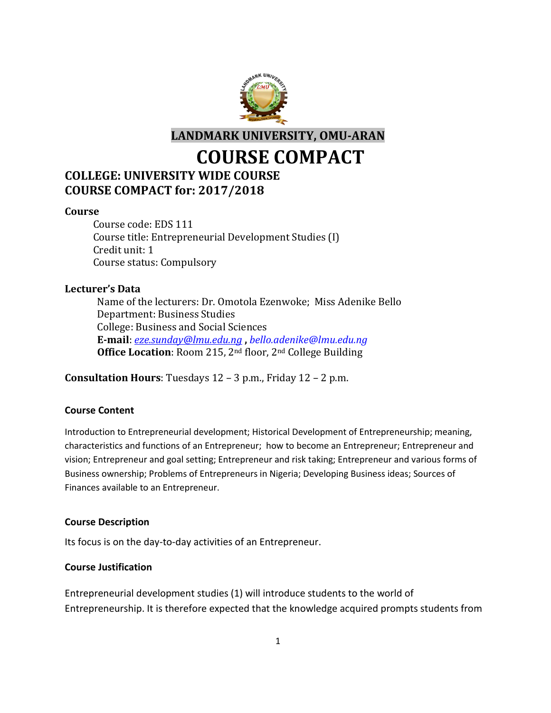

**LANDMARK UNIVERSITY, OMU-ARAN**

**COURSE COMPACT**

## **COLLEGE: UNIVERSITY WIDE COURSE COURSE COMPACT for: 2017/2018**

#### **Course**

Course code: EDS 111 Course title: Entrepreneurial Development Studies (I) Credit unit: 1 Course status: Compulsory

#### **Lecturer's Data**

Name of the lecturers: Dr. Omotola Ezenwoke; Miss Adenike Bello Department: Business Studies College: Business and Social Sciences **E-mail**: *[eze.sunday@lmu.edu.ng](mailto:eze.sunday@lmu.edu.ng)* **,** *bello.adenike@lmu.edu.ng* **Office Location**: Room 215, 2<sup>nd</sup> floor, 2<sup>nd</sup> College Building

**Consultation Hours**: Tuesdays 12 – 3 p.m., Friday 12 – 2 p.m.

#### **Course Content**

Introduction to Entrepreneurial development; Historical Development of Entrepreneurship; meaning, characteristics and functions of an Entrepreneur; how to become an Entrepreneur; Entrepreneur and vision; Entrepreneur and goal setting; Entrepreneur and risk taking; Entrepreneur and various forms of Business ownership; Problems of Entrepreneurs in Nigeria; Developing Business ideas; Sources of Finances available to an Entrepreneur.

#### **Course Description**

Its focus is on the day-to-day activities of an Entrepreneur.

#### **Course Justification**

Entrepreneurial development studies (1) will introduce students to the world of Entrepreneurship. It is therefore expected that the knowledge acquired prompts students from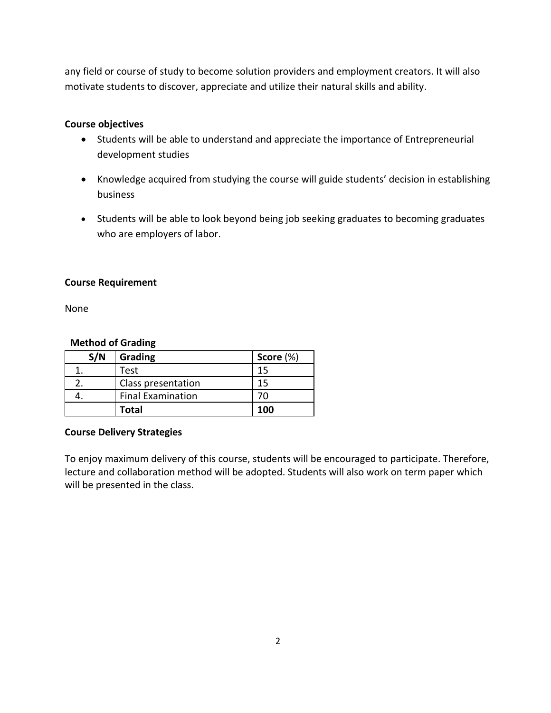any field or course of study to become solution providers and employment creators. It will also motivate students to discover, appreciate and utilize their natural skills and ability.

#### **Course objectives**

- Students will be able to understand and appreciate the importance of Entrepreneurial development studies
- Knowledge acquired from studying the course will guide students' decision in establishing business
- Students will be able to look beyond being job seeking graduates to becoming graduates who are employers of labor.

#### **Course Requirement**

None

#### **Method of Grading**

| S/N | Grading                  | Score $(\%)$ |  |
|-----|--------------------------|--------------|--|
|     | Test                     |              |  |
|     | Class presentation       | 15           |  |
|     | <b>Final Examination</b> |              |  |
|     | Total                    | 100          |  |

#### **Course Delivery Strategies**

To enjoy maximum delivery of this course, students will be encouraged to participate. Therefore, lecture and collaboration method will be adopted. Students will also work on term paper which will be presented in the class.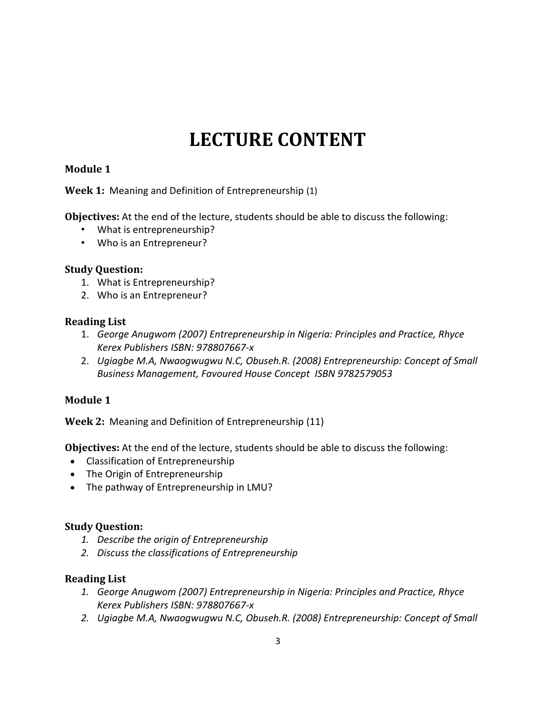# **LECTURE CONTENT**

## **Module 1**

**Week 1:** Meaning and Definition of Entrepreneurship (1)

**Objectives:** At the end of the lecture, students should be able to discuss the following:

- What is entrepreneurship?
- Who is an Entrepreneur?

## **Study Question:**

- 1. What is Entrepreneurship?
- 2. Who is an Entrepreneur?

## **Reading List**

- 1. *George Anugwom (2007) Entrepreneurship in Nigeria: Principles and Practice, Rhyce Kerex Publishers ISBN: 978807667-x*
- 2. *Ugiagbe M.A, Nwaogwugwu N.C, Obuseh.R. (2008) Entrepreneurship: Concept of Small Business Management, Favoured House Concept ISBN 9782579053*

## **Module 1**

**Week 2:** Meaning and Definition of Entrepreneurship (11)

**Objectives:** At the end of the lecture, students should be able to discuss the following:

- Classification of Entrepreneurship
- The Origin of Entrepreneurship
- The pathway of Entrepreneurship in LMU?

## **Study Question:**

- *1. Describe the origin of Entrepreneurship*
- *2. Discuss the classifications of Entrepreneurship*

## **Reading List**

- *1. George Anugwom (2007) Entrepreneurship in Nigeria: Principles and Practice, Rhyce Kerex Publishers ISBN: 978807667-x*
- 2. *Ugiagbe M.A, Nwaogwugwu N.C, Obuseh.R. (2008) Entrepreneurship: Concept of Small*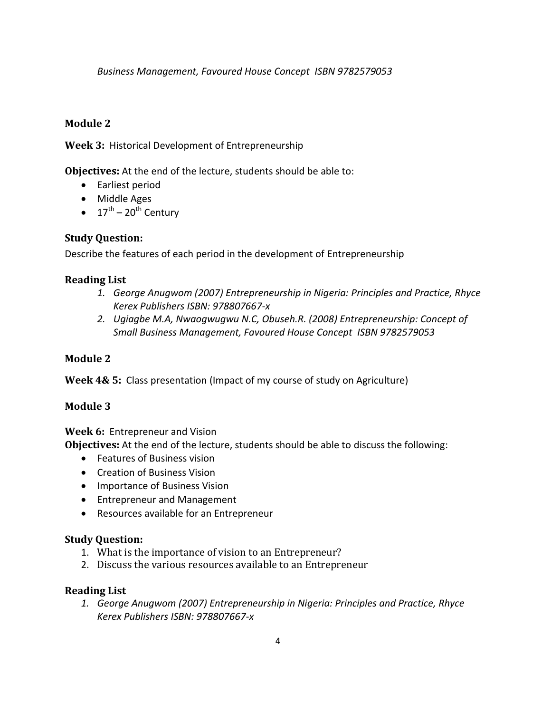*Business Management, Favoured House Concept ISBN 9782579053*

## **Module 2**

**Week 3:** Historical Development of Entrepreneurship

**Objectives:** At the end of the lecture, students should be able to:

- Earliest period
- Middle Ages
- $17^{\text{th}} 20^{\text{th}}$  Century

## **Study Question:**

Describe the features of each period in the development of Entrepreneurship

## **Reading List**

- *1. George Anugwom (2007) Entrepreneurship in Nigeria: Principles and Practice, Rhyce Kerex Publishers ISBN: 978807667-x*
- *2. Ugiagbe M.A, Nwaogwugwu N.C, Obuseh.R. (2008) Entrepreneurship: Concept of Small Business Management, Favoured House Concept ISBN 9782579053*

## **Module 2**

**Week 4& 5:** Class presentation (Impact of my course of study on Agriculture)

## **Module 3**

**Week 6:** Entrepreneur and Vision

**Objectives:** At the end of the lecture, students should be able to discuss the following:

- Features of Business vision
- Creation of Business Vision
- Importance of Business Vision
- Entrepreneur and Management
- Resources available for an Entrepreneur

## **Study Question:**

- 1. What is the importance of vision to an Entrepreneur?
- 2. Discuss the various resources available to an Entrepreneur

#### **Reading List**

*1. George Anugwom (2007) Entrepreneurship in Nigeria: Principles and Practice, Rhyce Kerex Publishers ISBN: 978807667-x*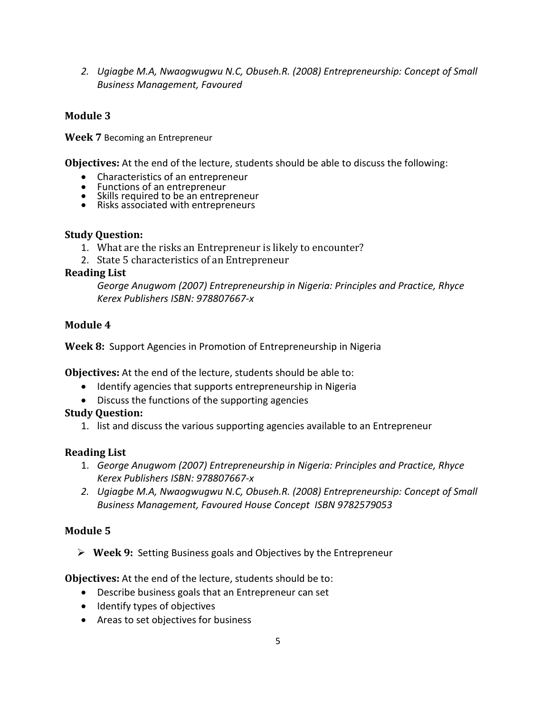2. *Ugiagbe M.A, Nwaogwugwu N.C, Obuseh.R. (2008) Entrepreneurship: Concept of Small Business Management, Favoured*

## **Module 3**

**Week 7** Becoming an Entrepreneur

**Objectives:** At the end of the lecture, students should be able to discuss the following:

- Characteristics of an entrepreneur
- Functions of an entrepreneur
- Skills required to be an entrepreneur
- Risks associated with entrepreneurs

#### **Study Question:**

- 1. What are the risks an Entrepreneur is likely to encounter?
- 2. State 5 characteristics of an Entrepreneur

#### **Reading List**

*George Anugwom (2007) Entrepreneurship in Nigeria: Principles and Practice, Rhyce Kerex Publishers ISBN: 978807667-x*

#### **Module 4**

**Week 8:** Support Agencies in Promotion of Entrepreneurship in Nigeria

**Objectives:** At the end of the lecture, students should be able to:

- Identify agencies that supports entrepreneurship in Nigeria
- Discuss the functions of the supporting agencies

#### **Study Question:**

1. list and discuss the various supporting agencies available to an Entrepreneur

#### **Reading List**

- 1. *George Anugwom (2007) Entrepreneurship in Nigeria: Principles and Practice, Rhyce Kerex Publishers ISBN: 978807667-x*
- 2. *Ugiagbe M.A, Nwaogwugwu N.C, Obuseh.R. (2008) Entrepreneurship: Concept of Small Business Management, Favoured House Concept ISBN 9782579053*

## **Module 5**

**Week 9:** Setting Business goals and Objectives by the Entrepreneur

**Objectives:** At the end of the lecture, students should be to:

- Describe business goals that an Entrepreneur can set
- Identify types of objectives
- Areas to set objectives for business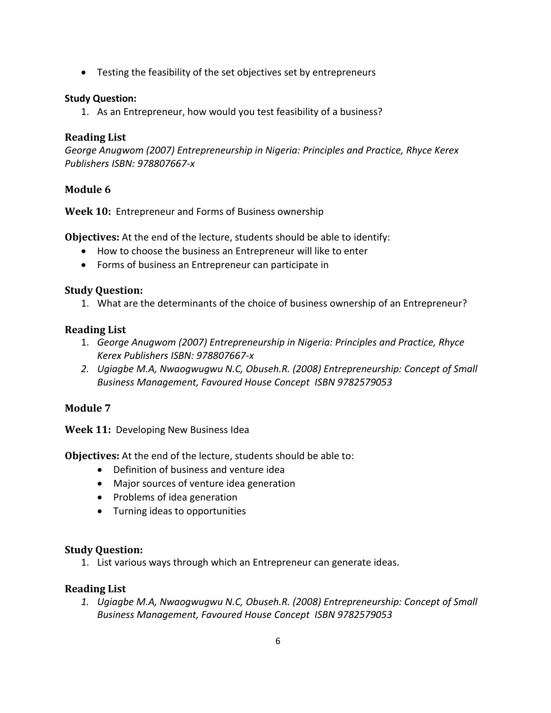Testing the feasibility of the set objectives set by entrepreneurs

#### **Study Question:**

1. As an Entrepreneur, how would you test feasibility of a business?

#### **Reading List**

*George Anugwom (2007) Entrepreneurship in Nigeria: Principles and Practice, Rhyce Kerex Publishers ISBN: 978807667-x*

## **Module 6**

**Week 10:** Entrepreneur and Forms of Business ownership

**Objectives:** At the end of the lecture, students should be able to identify:

- How to choose the business an Entrepreneur will like to enter
- Forms of business an Entrepreneur can participate in

## **Study Question:**

1. What are the determinants of the choice of business ownership of an Entrepreneur?

#### **Reading List**

- 1. *George Anugwom (2007) Entrepreneurship in Nigeria: Principles and Practice, Rhyce Kerex Publishers ISBN: 978807667-x*
- 2. *Ugiagbe M.A, Nwaogwugwu N.C, Obuseh.R. (2008) Entrepreneurship: Concept of Small Business Management, Favoured House Concept ISBN 9782579053*

## **Module 7**

**Week 11:** Developing New Business Idea

**Objectives:** At the end of the lecture, students should be able to:

- Definition of business and venture idea
- Major sources of venture idea generation
- Problems of idea generation
- Turning ideas to opportunities

#### **Study Question:**

1. List various ways through which an Entrepreneur can generate ideas.

## **Reading List**

*1. Ugiagbe M.A, Nwaogwugwu N.C, Obuseh.R. (2008) Entrepreneurship: Concept of Small Business Management, Favoured House Concept ISBN 9782579053*